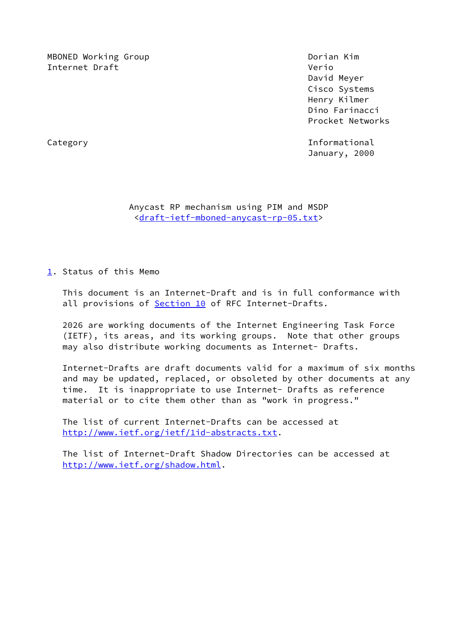MBONED Working Group **Doming Accompany** Dorian Kim Internet Draft Verious Communications of the Verious Communications of Verious Communications of Verious Communications of Verious Communications of Verious Communications of Verious Communications of Verious Communication

 David Meyer Cisco Systems Henry Kilmer Dino Farinacci Procket Networks

Category **Informational** January, 2000

 Anycast RP mechanism using PIM and MSDP <[draft-ietf-mboned-anycast-rp-05.txt](https://datatracker.ietf.org/doc/pdf/draft-ietf-mboned-anycast-rp-05.txt)>

<span id="page-0-0"></span>[1](#page-0-0). Status of this Memo

 This document is an Internet-Draft and is in full conformance with all provisions of **Section 10** of RFC Internet-Drafts.

 2026 are working documents of the Internet Engineering Task Force (IETF), its areas, and its working groups. Note that other groups may also distribute working documents as Internet- Drafts.

 Internet-Drafts are draft documents valid for a maximum of six months and may be updated, replaced, or obsoleted by other documents at any time. It is inappropriate to use Internet- Drafts as reference material or to cite them other than as "work in progress."

 The list of current Internet-Drafts can be accessed at <http://www.ietf.org/ietf/1id-abstracts.txt>.

 The list of Internet-Draft Shadow Directories can be accessed at <http://www.ietf.org/shadow.html>.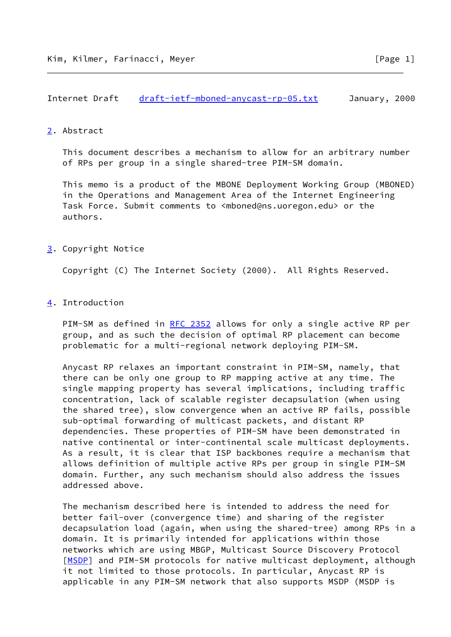## <span id="page-1-0"></span>[2](#page-1-0). Abstract

 This document describes a mechanism to allow for an arbitrary number of RPs per group in a single shared-tree PIM-SM domain.

 This memo is a product of the MBONE Deployment Working Group (MBONED) in the Operations and Management Area of the Internet Engineering Task Force. Submit comments to <mboned@ns.uoregon.edu> or the authors.

## <span id="page-1-1"></span>[3](#page-1-1). Copyright Notice

Copyright (C) The Internet Society (2000). All Rights Reserved.

## <span id="page-1-2"></span>[4](#page-1-2). Introduction

PIM-SM as defined in [RFC 2352](https://datatracker.ietf.org/doc/pdf/rfc2352) allows for only a single active RP per group, and as such the decision of optimal RP placement can become problematic for a multi-regional network deploying PIM-SM.

 Anycast RP relaxes an important constraint in PIM-SM, namely, that there can be only one group to RP mapping active at any time. The single mapping property has several implications, including traffic concentration, lack of scalable register decapsulation (when using the shared tree), slow convergence when an active RP fails, possible sub-optimal forwarding of multicast packets, and distant RP dependencies. These properties of PIM-SM have been demonstrated in native continental or inter-continental scale multicast deployments. As a result, it is clear that ISP backbones require a mechanism that allows definition of multiple active RPs per group in single PIM-SM domain. Further, any such mechanism should also address the issues addressed above.

 The mechanism described here is intended to address the need for better fail-over (convergence time) and sharing of the register decapsulation load (again, when using the shared-tree) among RPs in a domain. It is primarily intended for applications within those networks which are using MBGP, Multicast Source Discovery Protocol [\[MSDP](#page-7-1)] and PIM-SM protocols for native multicast deployment, although it not limited to those protocols. In particular, Anycast RP is applicable in any PIM-SM network that also supports MSDP (MSDP is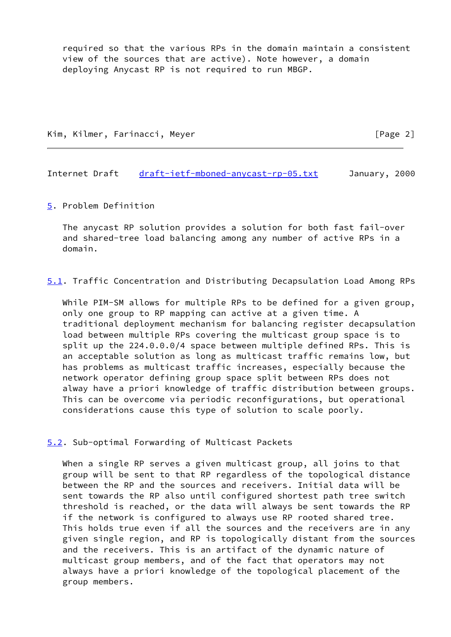required so that the various RPs in the domain maintain a consistent view of the sources that are active). Note however, a domain deploying Anycast RP is not required to run MBGP.

Kim, Kilmer, Farinacci, Meyer [Page 2]

Internet Draft [draft-ietf-mboned-anycast-rp-05.txt](https://datatracker.ietf.org/doc/pdf/draft-ietf-mboned-anycast-rp-05.txt) January, 2000

<span id="page-2-0"></span>[5](#page-2-0). Problem Definition

 The anycast RP solution provides a solution for both fast fail-over and shared-tree load balancing among any number of active RPs in a domain.

<span id="page-2-1"></span>[5.1](#page-2-1). Traffic Concentration and Distributing Decapsulation Load Among RPs

 While PIM-SM allows for multiple RPs to be defined for a given group, only one group to RP mapping can active at a given time. A traditional deployment mechanism for balancing register decapsulation load between multiple RPs covering the multicast group space is to split up the 224.0.0.0/4 space between multiple defined RPs. This is an acceptable solution as long as multicast traffic remains low, but has problems as multicast traffic increases, especially because the network operator defining group space split between RPs does not alway have a priori knowledge of traffic distribution between groups. This can be overcome via periodic reconfigurations, but operational considerations cause this type of solution to scale poorly.

<span id="page-2-2"></span>[5.2](#page-2-2). Sub-optimal Forwarding of Multicast Packets

 When a single RP serves a given multicast group, all joins to that group will be sent to that RP regardless of the topological distance between the RP and the sources and receivers. Initial data will be sent towards the RP also until configured shortest path tree switch threshold is reached, or the data will always be sent towards the RP if the network is configured to always use RP rooted shared tree. This holds true even if all the sources and the receivers are in any given single region, and RP is topologically distant from the sources and the receivers. This is an artifact of the dynamic nature of multicast group members, and of the fact that operators may not always have a priori knowledge of the topological placement of the group members.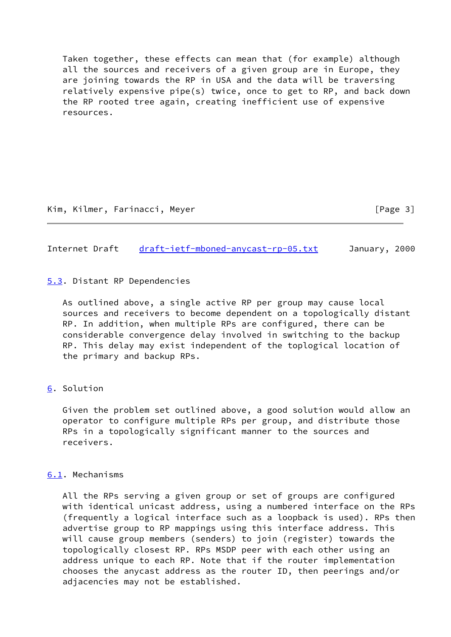Taken together, these effects can mean that (for example) although all the sources and receivers of a given group are in Europe, they are joining towards the RP in USA and the data will be traversing relatively expensive pipe(s) twice, once to get to RP, and back down the RP rooted tree again, creating inefficient use of expensive resources.

Internet Draft [draft-ietf-mboned-anycast-rp-05.txt](https://datatracker.ietf.org/doc/pdf/draft-ietf-mboned-anycast-rp-05.txt) January, 2000

<span id="page-3-0"></span>[5.3](#page-3-0). Distant RP Dependencies

 As outlined above, a single active RP per group may cause local sources and receivers to become dependent on a topologically distant RP. In addition, when multiple RPs are configured, there can be considerable convergence delay involved in switching to the backup RP. This delay may exist independent of the toplogical location of the primary and backup RPs.

<span id="page-3-1"></span>[6](#page-3-1). Solution

 Given the problem set outlined above, a good solution would allow an operator to configure multiple RPs per group, and distribute those RPs in a topologically significant manner to the sources and receivers.

## <span id="page-3-2"></span>[6.1](#page-3-2). Mechanisms

 All the RPs serving a given group or set of groups are configured with identical unicast address, using a numbered interface on the RPs (frequently a logical interface such as a loopback is used). RPs then advertise group to RP mappings using this interface address. This will cause group members (senders) to join (register) towards the topologically closest RP. RPs MSDP peer with each other using an address unique to each RP. Note that if the router implementation chooses the anycast address as the router ID, then peerings and/or adjacencies may not be established.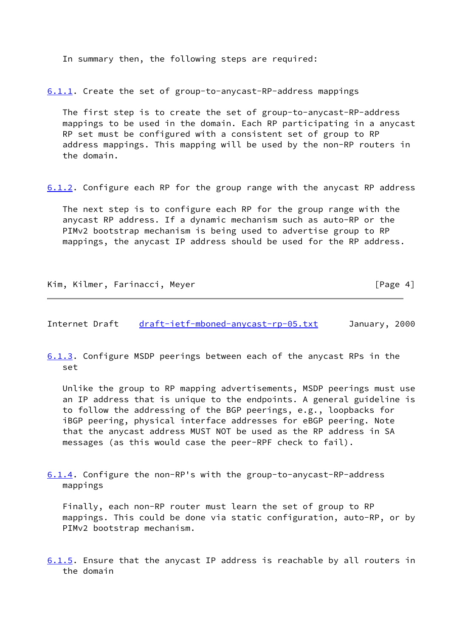In summary then, the following steps are required:

<span id="page-4-0"></span>[6.1.1](#page-4-0). Create the set of group-to-anycast-RP-address mappings

 The first step is to create the set of group-to-anycast-RP-address mappings to be used in the domain. Each RP participating in a anycast RP set must be configured with a consistent set of group to RP address mappings. This mapping will be used by the non-RP routers in the domain.

<span id="page-4-1"></span>[6.1.2](#page-4-1). Configure each RP for the group range with the anycast RP address

 The next step is to configure each RP for the group range with the anycast RP address. If a dynamic mechanism such as auto-RP or the PIMv2 bootstrap mechanism is being used to advertise group to RP mappings, the anycast IP address should be used for the RP address.

Kim, Kilmer, Farinacci, Meyer [Page 4]

Internet Draft [draft-ietf-mboned-anycast-rp-05.txt](https://datatracker.ietf.org/doc/pdf/draft-ietf-mboned-anycast-rp-05.txt) January, 2000

<span id="page-4-2"></span>[6.1.3](#page-4-2). Configure MSDP peerings between each of the anycast RPs in the set

 Unlike the group to RP mapping advertisements, MSDP peerings must use an IP address that is unique to the endpoints. A general guideline is to follow the addressing of the BGP peerings, e.g., loopbacks for iBGP peering, physical interface addresses for eBGP peering. Note that the anycast address MUST NOT be used as the RP address in SA messages (as this would case the peer-RPF check to fail).

<span id="page-4-3"></span>[6.1.4](#page-4-3). Configure the non-RP's with the group-to-anycast-RP-address mappings

 Finally, each non-RP router must learn the set of group to RP mappings. This could be done via static configuration, auto-RP, or by PIMv2 bootstrap mechanism.

<span id="page-4-4"></span>[6.1.5](#page-4-4). Ensure that the anycast IP address is reachable by all routers in the domain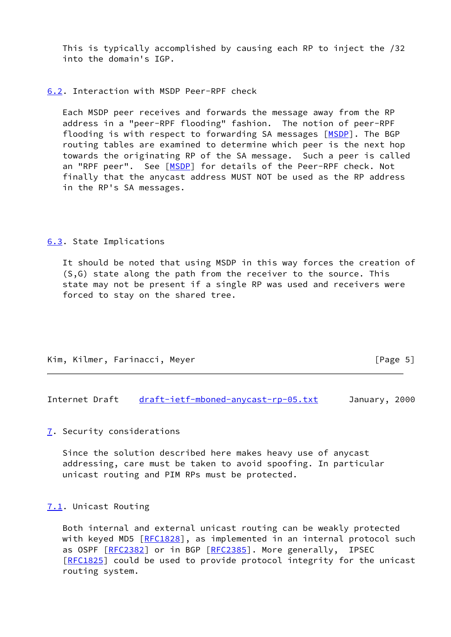This is typically accomplished by causing each RP to inject the /32 into the domain's IGP.

<span id="page-5-0"></span>[6.2](#page-5-0). Interaction with MSDP Peer-RPF check

 Each MSDP peer receives and forwards the message away from the RP address in a "peer-RPF flooding" fashion. The notion of peer-RPF flooding is with respect to forwarding SA messages [[MSDP\]](#page-7-1). The BGP routing tables are examined to determine which peer is the next hop towards the originating RP of the SA message. Such a peer is called an "RPF peer". See [\[MSDP](#page-7-1)] for details of the Peer-RPF check. Not finally that the anycast address MUST NOT be used as the RP address in the RP's SA messages.

<span id="page-5-1"></span>[6.3](#page-5-1). State Implications

 It should be noted that using MSDP in this way forces the creation of (S,G) state along the path from the receiver to the source. This state may not be present if a single RP was used and receivers were forced to stay on the shared tree.

|  | Kim, Kilmer, Farinacci, Meyer | [Page 5] |
|--|-------------------------------|----------|
|  |                               |          |

Internet Draft [draft-ietf-mboned-anycast-rp-05.txt](https://datatracker.ietf.org/doc/pdf/draft-ietf-mboned-anycast-rp-05.txt) January, 2000

<span id="page-5-2"></span>[7](#page-5-2). Security considerations

 Since the solution described here makes heavy use of anycast addressing, care must be taken to avoid spoofing. In particular unicast routing and PIM RPs must be protected.

<span id="page-5-3"></span>[7.1](#page-5-3). Unicast Routing

 Both internal and external unicast routing can be weakly protected with keyed MD5 [\[RFC1828](https://datatracker.ietf.org/doc/pdf/rfc1828)], as implemented in an internal protocol such as OSPF [\[RFC2382](https://datatracker.ietf.org/doc/pdf/rfc2382)] or in BGP [\[RFC2385](https://datatracker.ietf.org/doc/pdf/rfc2385)]. More generally, IPSEC [\[RFC1825](https://datatracker.ietf.org/doc/pdf/rfc1825)] could be used to provide protocol integrity for the unicast routing system.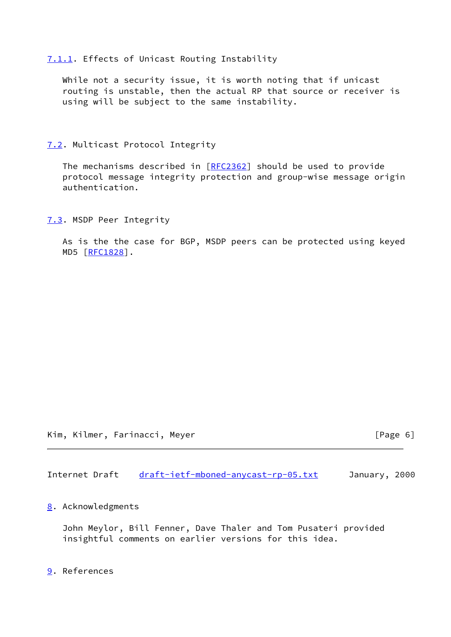<span id="page-6-0"></span>[7.1.1](#page-6-0). Effects of Unicast Routing Instability

 While not a security issue, it is worth noting that if unicast routing is unstable, then the actual RP that source or receiver is using will be subject to the same instability.

<span id="page-6-1"></span>[7.2](#page-6-1). Multicast Protocol Integrity

The mechanisms described in [\[RFC2362](https://datatracker.ietf.org/doc/pdf/rfc2362)] should be used to provide protocol message integrity protection and group-wise message origin authentication.

<span id="page-6-2"></span>[7.3](#page-6-2). MSDP Peer Integrity

 As is the the case for BGP, MSDP peers can be protected using keyed MD5 [\[RFC1828](https://datatracker.ietf.org/doc/pdf/rfc1828)].

Kim, Kilmer, Farinacci, Meyer [Page 6]

Internet Draft [draft-ietf-mboned-anycast-rp-05.txt](https://datatracker.ietf.org/doc/pdf/draft-ietf-mboned-anycast-rp-05.txt) January, 2000

<span id="page-6-3"></span>[8](#page-6-3). Acknowledgments

 John Meylor, Bill Fenner, Dave Thaler and Tom Pusateri provided insightful comments on earlier versions for this idea.

<span id="page-6-4"></span>[9](#page-6-4). References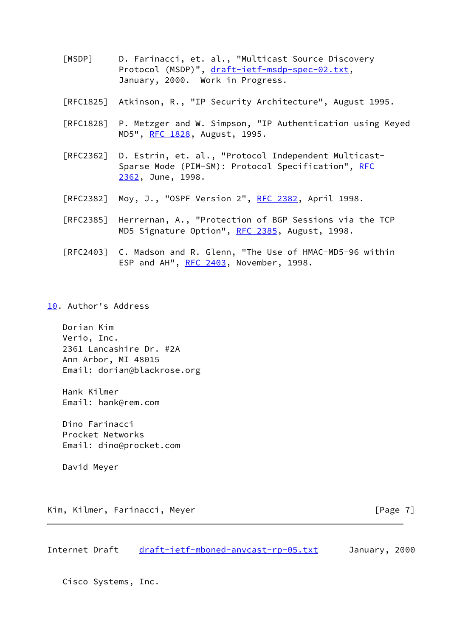- <span id="page-7-1"></span> [MSDP] D. Farinacci, et. al., "Multicast Source Discovery Protocol (MSDP)", [draft-ietf-msdp-spec-02.txt](https://datatracker.ietf.org/doc/pdf/draft-ietf-msdp-spec-02.txt), January, 2000. Work in Progress.
- [RFC1825] Atkinson, R., "IP Security Architecture", August 1995.
- [RFC1828] P. Metzger and W. Simpson, "IP Authentication using Keyed MD5", [RFC 1828](https://datatracker.ietf.org/doc/pdf/rfc1828), August, 1995.
- [RFC2362] D. Estrin, et. al., "Protocol Independent Multicast- Sparse Mode (PIM-SM): Protocol Specification", [RFC](https://datatracker.ietf.org/doc/pdf/rfc2362) [2362,](https://datatracker.ietf.org/doc/pdf/rfc2362) June, 1998.
- [RFC2382] Moy, J., "OSPF Version 2", [RFC 2382](https://datatracker.ietf.org/doc/pdf/rfc2382), April 1998.
- [RFC2385] Herrernan, A., "Protection of BGP Sessions via the TCP MD5 Signature Option", [RFC 2385](https://datatracker.ietf.org/doc/pdf/rfc2385), August, 1998.
- [RFC2403] C. Madson and R. Glenn, "The Use of HMAC-MD5-96 within ESP and AH", [RFC 2403](https://datatracker.ietf.org/doc/pdf/rfc2403), November, 1998.
- <span id="page-7-0"></span>[10.](#page-7-0) Author's Address

 Dorian Kim Verio, Inc. 2361 Lancashire Dr. #2A Ann Arbor, MI 48015 Email: dorian@blackrose.org

 Hank Kilmer Email: hank@rem.com

 Dino Farinacci Procket Networks Email: dino@procket.com

David Meyer

Kim, Kilmer, Farinacci, Meyer [Page 7]

Internet Draft [draft-ietf-mboned-anycast-rp-05.txt](https://datatracker.ietf.org/doc/pdf/draft-ietf-mboned-anycast-rp-05.txt) January, 2000

Cisco Systems, Inc.